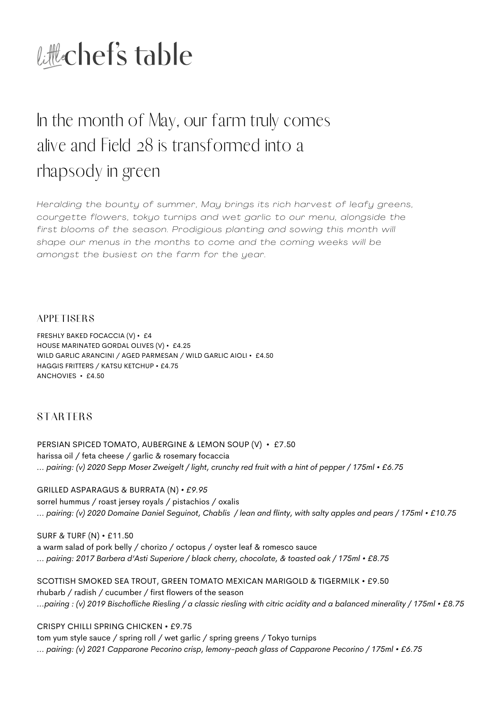

# In the month of May, our farm truly comes alive and Field 28 is transformed into a rhapsody in green

*Heralding the bounty of summer, May brings its rich harvest of leafy greens, courgette flowers, tokyo turnips and wet garl ic to our menu, alongside the first blooms of the season. Prodigious planting and sowing this month wi l l shape our menus in the months to come and the coming weeks wi l l be amongst the busiest on the farm for the year.*

**APPETISERS** 

FRESHLY BAKED FOCACCIA (V) • £4 HOUSE MARINATED GORDAL OLIVES (V) • £4.25 WILD GARLIC ARANCINI / AGED PARMESAN / WILD GARLIC AIOLI • £4.50 HAGGIS FRITTERS / KATSU KETCHUP • £4.75 ANCHOVIES • £4.50

**STARTERS** 

PERSIAN SPICED TOMATO, AUBERGINE & LEMON SOUP (V) • £7.50 harissa oil / feta cheese / garlic & rosemary focaccia ... pairing: (v) 2020 Sepp Moser Zweigelt / light, crunchy red fruit with a hint of pepper / 175ml • £6.75

GRILLED ASPARAGUS & BURRATA (N) *• £9.95*

sorrel hummus / roast jersey royals / pistachios / oxalis ... pairing: (v) 2020 Domaine Daniel Seguinot, Chablis / lean and flinty, with salty apples and pears / 175ml • £10.75

SURF & TURF (N) • £11.50 a warm salad of pork belly / chorizo / octopus / oyster leaf & romesco sauce *... pairing: 2017 Barbera d'Asti Superiore / black cherry, chocolate, & toasted oak / 175ml • £8.75*

SCOTTISH SMOKED SEA TROUT, GREEN TOMATO MEXICAN MARIGOLD & TIGERMILK • £9.50 rhubarb / radish / cucumber / first flowers of the season ...pairing: (v) 2019 Bischofliche Riesling / a classic riesling with citric acidity and a balanced minerality / 175ml • £8.75

CRISPY CHILLI SPRING CHICKEN • £9.75

tom yum style sauce / spring roll / wet garlic / spring greens / Tokyo turnips *... pairing: (v) 2021 Capparone Pecorino crisp, lemony-peach glass of Capparone Pecorino / 175ml • £6.75*